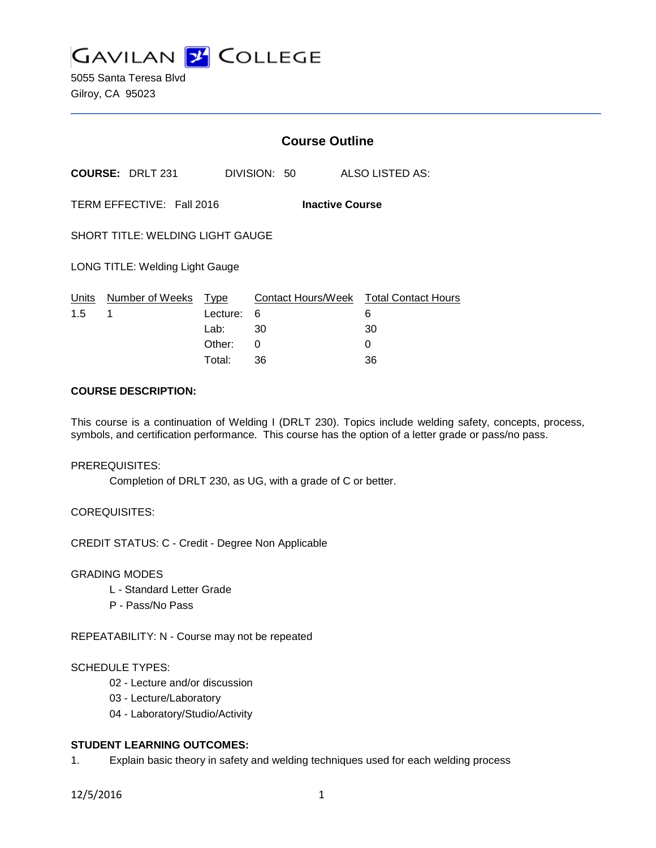

5055 Santa Teresa Blvd Gilroy, CA 95023

|                                         |                           | <b>Course Outline</b> |              |                                             |  |
|-----------------------------------------|---------------------------|-----------------------|--------------|---------------------------------------------|--|
|                                         | <b>COURSE: DRLT 231</b>   |                       | DIVISION: 50 | ALSO LISTED AS:                             |  |
| TERM EFFECTIVE: Fall 2016               |                           |                       |              | <b>Inactive Course</b>                      |  |
| <b>SHORT TITLE: WELDING LIGHT GAUGE</b> |                           |                       |              |                                             |  |
| <b>LONG TITLE: Welding Light Gauge</b>  |                           |                       |              |                                             |  |
| Units<br>1.5                            | Number of Weeks Type<br>1 | Lecture:              | 6            | Contact Hours/Week Total Contact Hours<br>6 |  |
|                                         |                           | Lab:                  | 30           | 30                                          |  |
|                                         |                           | Other:                | 0            | 0                                           |  |
|                                         |                           | Total:                | 36           | 36                                          |  |

## **COURSE DESCRIPTION:**

This course is a continuation of Welding I (DRLT 230). Topics include welding safety, concepts, process, symbols, and certification performance. This course has the option of a letter grade or pass/no pass.

#### PREREQUISITES:

Completion of DRLT 230, as UG, with a grade of C or better.

## COREQUISITES:

CREDIT STATUS: C - Credit - Degree Non Applicable

## GRADING MODES

- L Standard Letter Grade
- P Pass/No Pass

REPEATABILITY: N - Course may not be repeated

#### SCHEDULE TYPES:

- 02 Lecture and/or discussion
- 03 Lecture/Laboratory
- 04 Laboratory/Studio/Activity

## **STUDENT LEARNING OUTCOMES:**

1. Explain basic theory in safety and welding techniques used for each welding process

12/5/2016 1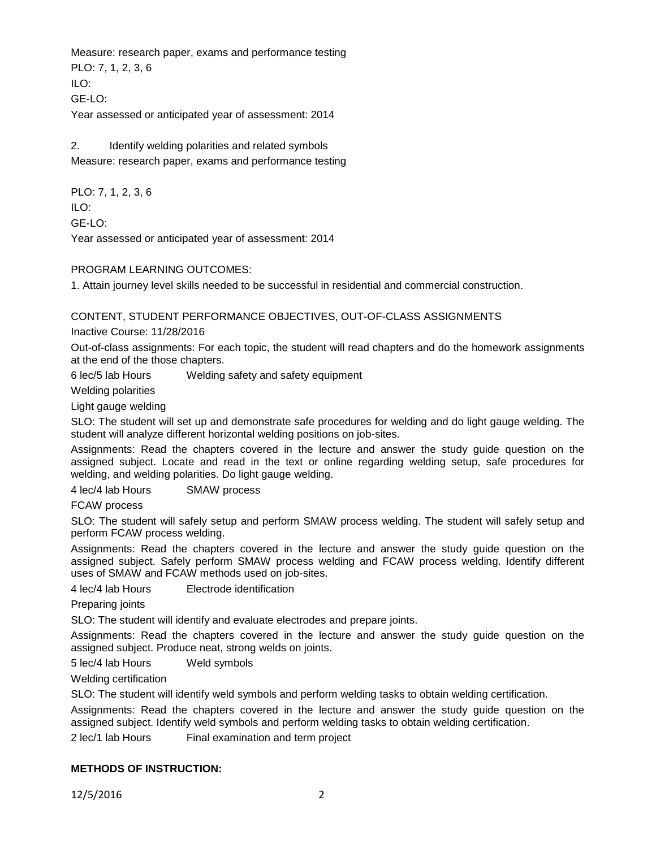Measure: research paper, exams and performance testing PLO: 7, 1, 2, 3, 6 ILO: GE-LO: Year assessed or anticipated year of assessment: 2014

2. Identify welding polarities and related symbols Measure: research paper, exams and performance testing

PLO: 7, 1, 2, 3, 6 ILO: GE-LO: Year assessed or anticipated year of assessment: 2014

PROGRAM LEARNING OUTCOMES:

1. Attain journey level skills needed to be successful in residential and commercial construction.

CONTENT, STUDENT PERFORMANCE OBJECTIVES, OUT-OF-CLASS ASSIGNMENTS

Inactive Course: 11/28/2016

Out-of-class assignments: For each topic, the student will read chapters and do the homework assignments at the end of the those chapters.

6 lec/5 lab Hours Welding safety and safety equipment

Welding polarities

Light gauge welding

SLO: The student will set up and demonstrate safe procedures for welding and do light gauge welding. The student will analyze different horizontal welding positions on job-sites.

Assignments: Read the chapters covered in the lecture and answer the study guide question on the assigned subject. Locate and read in the text or online regarding welding setup, safe procedures for welding, and welding polarities. Do light gauge welding.

4 lec/4 lab Hours SMAW process

FCAW process

SLO: The student will safely setup and perform SMAW process welding. The student will safely setup and perform FCAW process welding.

Assignments: Read the chapters covered in the lecture and answer the study guide question on the assigned subject. Safely perform SMAW process welding and FCAW process welding. Identify different uses of SMAW and FCAW methods used on job-sites.

4 lec/4 lab Hours Electrode identification

Preparing joints

SLO: The student will identify and evaluate electrodes and prepare joints.

Assignments: Read the chapters covered in the lecture and answer the study guide question on the assigned subject. Produce neat, strong welds on joints.

5 lec/4 lab Hours Weld symbols

Welding certification

SLO: The student will identify weld symbols and perform welding tasks to obtain welding certification.

Assignments: Read the chapters covered in the lecture and answer the study guide question on the assigned subject. Identify weld symbols and perform welding tasks to obtain welding certification.

2 lec/1 lab Hours Final examination and term project

## **METHODS OF INSTRUCTION:**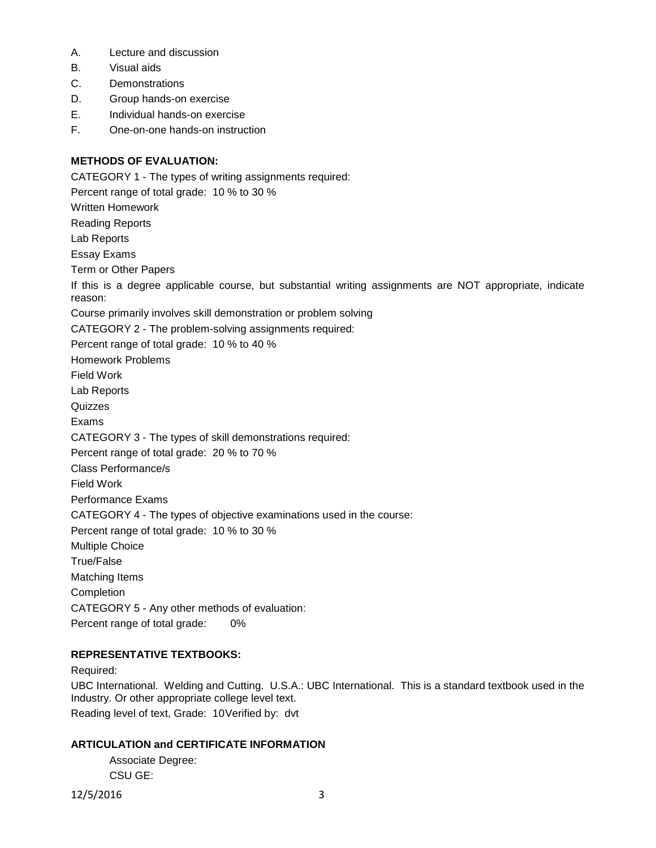- A. Lecture and discussion
- B. Visual aids
- C. Demonstrations
- D. Group hands-on exercise
- E. Individual hands-on exercise
- F. One-on-one hands-on instruction

## **METHODS OF EVALUATION:**

CATEGORY 1 - The types of writing assignments required: Percent range of total grade: 10 % to 30 % Written Homework Reading Reports Lab Reports Essay Exams Term or Other Papers If this is a degree applicable course, but substantial writing assignments are NOT appropriate, indicate reason: Course primarily involves skill demonstration or problem solving CATEGORY 2 - The problem-solving assignments required: Percent range of total grade: 10 % to 40 % Homework Problems Field Work Lab Reports **Quizzes** Exams CATEGORY 3 - The types of skill demonstrations required: Percent range of total grade: 20 % to 70 % Class Performance/s Field Work Performance Exams CATEGORY 4 - The types of objective examinations used in the course: Percent range of total grade: 10 % to 30 % Multiple Choice True/False Matching Items **Completion** CATEGORY 5 - Any other methods of evaluation: Percent range of total grade: 0%

# **REPRESENTATIVE TEXTBOOKS:**

Required:

UBC International. Welding and Cutting. U.S.A.: UBC International. This is a standard textbook used in the Industry. Or other appropriate college level text. Reading level of text, Grade: 10Verified by: dvt

# **ARTICULATION and CERTIFICATE INFORMATION**

Associate Degree: CSU GE:

12/5/2016 3